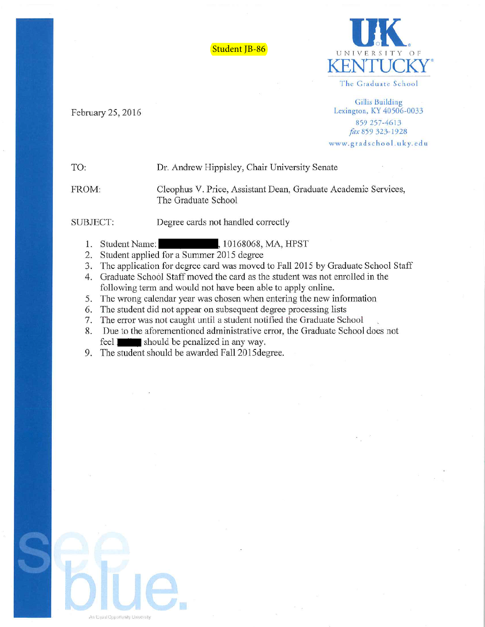Student JB-86



The Graduate School

**Gillis Building** Lexington, KY 40506-0033 859 257-4613 fax 859 323-1928

www.gradschool.uky.edu

## TO: Dr. Andrew Hippisley, Chair University Senate

FROM:

Cleophus V. Price, Assistant Dean, Graduate Academic Services, The Graduate School

SUBJECT:

February 25, 2016

- Degree cards not handled correctly
- 1. Student Name: , 10168068, MA, HPST
- 2. Student applied for a Summer 2015 degree
- 3. The application for degree card was moved to Fall 2015 by Graduate School Staff
- 4. Graduate School Staff moved the card as the student was not enrolled in the following term and would not have been able to apply online.
- 5. The wrong calendar year was chosen when entering the new information
- 6. The student did not appear on subsequent degree processing lists
- 7. The error was not caught until a student notified the Graduate School
- 8. Due to the aforementioned administrative error, the Graduate School does not feel with should be penalized in any way.
- 9. The student should be awarded Fall 2015 degree.